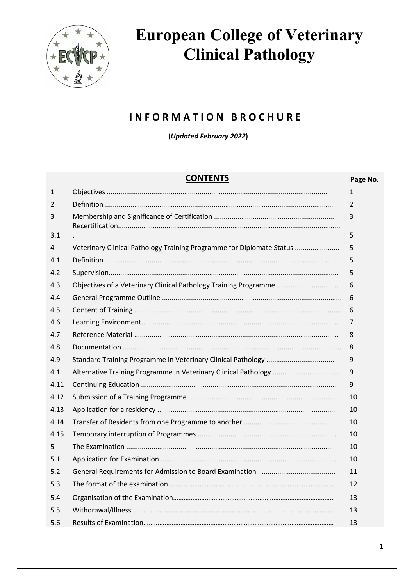

### **I N F O R M A T I O N B R O C H U R E**

**(***Updated February 2022***)**

#### **CONTENTS Page No.**

| $\mathbf{1}$ |                                                                       | 1  |
|--------------|-----------------------------------------------------------------------|----|
| 2            |                                                                       | 2  |
| 3            |                                                                       | 3  |
| 3.1          |                                                                       | 5  |
| 4            | Veterinary Clinical Pathology Training Programme for Diplomate Status | 5  |
| 4.1          |                                                                       | 5  |
| 4.2          |                                                                       | 5  |
| 4.3          | Objectives of a Veterinary Clinical Pathology Training Programme      | 6  |
| 4.4          |                                                                       | 6  |
| 4.5          |                                                                       | 6  |
| 4.6          |                                                                       | 7  |
| 4.7          |                                                                       | 8  |
| 4.8          |                                                                       | 8  |
| 4.9          |                                                                       | 9  |
| 4.1          | Alternative Training Programme in Veterinary Clinical Pathology       | 9  |
| 4.11         |                                                                       | 9  |
| 4.12         |                                                                       | 10 |
| 4.13         |                                                                       | 10 |
| 4.14         |                                                                       | 10 |
| 4.15         |                                                                       | 10 |
| 5            |                                                                       | 10 |
| 5.1          |                                                                       | 10 |
| 5.2          |                                                                       | 11 |
| 5.3          |                                                                       | 12 |
| 5.4          |                                                                       | 13 |
| 5.5          |                                                                       | 13 |
| 5.6          |                                                                       | 13 |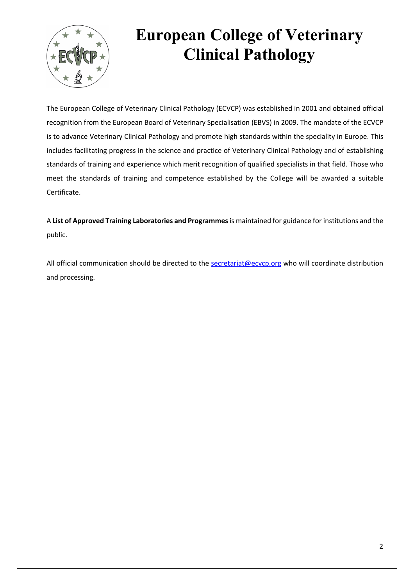

The European College of Veterinary Clinical Pathology (ECVCP) was established in 2001 and obtained official recognition from the European Board of Veterinary Specialisation (EBVS) in 2009. The mandate of the ECVCP is to advance Veterinary Clinical Pathology and promote high standards within the speciality in Europe. This includes facilitating progress in the science and practice of Veterinary Clinical Pathology and of establishing standards of training and experience which merit recognition of qualified specialists in that field. Those who meet the standards of training and competence established by the College will be awarded a suitable Certificate.

A **List of Approved Training Laboratories and Programmes**is maintained for guidance for institutions and the public.

All official communication should be directed to the secretariat@ecvcp.org who will coordinate distribution and processing.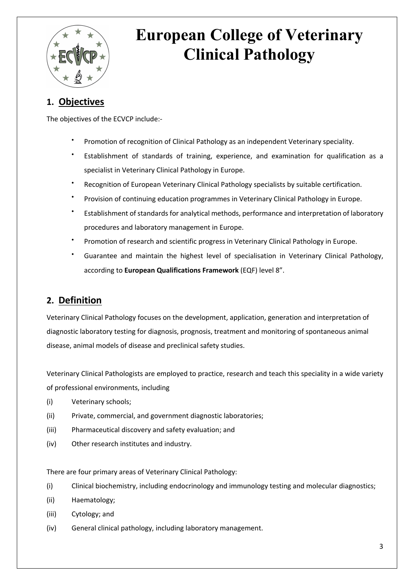

### **1. Objectives**

The objectives of the ECVCP include:-

- Promotion of recognition of Clinical Pathology as an independent Veterinary speciality.
- Establishment of standards of training, experience, and examination for qualification as a specialist in Veterinary Clinical Pathology in Europe.
- Recognition of European Veterinary Clinical Pathology specialists by suitable certification.
- Provision of continuing education programmes in Veterinary Clinical Pathology in Europe.
- Establishment of standards for analytical methods, performance and interpretation of laboratory procedures and laboratory management in Europe.
- Promotion of research and scientific progress in Veterinary Clinical Pathology in Europe.
- Guarantee and maintain the highest level of specialisation in Veterinary Clinical Pathology, according to **European Qualifications Framework** (EQF) level 8".

### **2. Definition**

Veterinary Clinical Pathology focuses on the development, application, generation and interpretation of diagnostic laboratory testing for diagnosis, prognosis, treatment and monitoring of spontaneous animal disease, animal models of disease and preclinical safety studies.

Veterinary Clinical Pathologists are employed to practice, research and teach this speciality in a wide variety of professional environments, including

- (i) Veterinary schools;
- (ii) Private, commercial, and government diagnostic laboratories;
- (iii) Pharmaceutical discovery and safety evaluation; and
- (iv) Other research institutes and industry.

There are four primary areas of Veterinary Clinical Pathology:

- (i) Clinical biochemistry, including endocrinology and immunology testing and molecular diagnostics;
- (ii) Haematology;
- (iii) Cytology; and
- (iv) General clinical pathology, including laboratory management.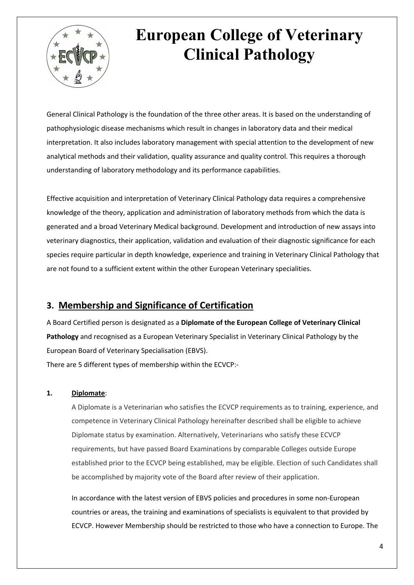

General Clinical Pathology is the foundation of the three other areas. It is based on the understanding of pathophysiologic disease mechanisms which result in changes in laboratory data and their medical interpretation. It also includes laboratory management with special attention to the development of new analytical methods and their validation, quality assurance and quality control. This requires a thorough understanding of laboratory methodology and its performance capabilities.

Effective acquisition and interpretation of Veterinary Clinical Pathology data requires a comprehensive knowledge of the theory, application and administration of laboratory methods from which the data is generated and a broad Veterinary Medical background. Development and introduction of new assays into veterinary diagnostics, their application, validation and evaluation of their diagnostic significance for each species require particular in depth knowledge, experience and training in Veterinary Clinical Pathology that are not found to a sufficient extent within the other European Veterinary specialities.

### **3. Membership and Significance of Certification**

A Board Certified person is designated as a **Diplomate of the European College of Veterinary Clinical Pathology** and recognised as a European Veterinary Specialist in Veterinary Clinical Pathology by the European Board of Veterinary Specialisation (EBVS). There are 5 different types of membership within the ECVCP:-

#### **1. Diplomate**:

A Diplomate is a Veterinarian who satisfies the ECVCP requirements as to training, experience, and competence in Veterinary Clinical Pathology hereinafter described shall be eligible to achieve Diplomate status by examination. Alternatively, Veterinarians who satisfy these ECVCP requirements, but have passed Board Examinations by comparable Colleges outside Europe established prior to the ECVCP being established, may be eligible. Election of such Candidates shall be accomplished by majority vote of the Board after review of their application.

In accordance with the latest version of EBVS policies and procedures in some non-European countries or areas, the training and examinations of specialists is equivalent to that provided by ECVCP. However Membership should be restricted to those who have a connection to Europe. The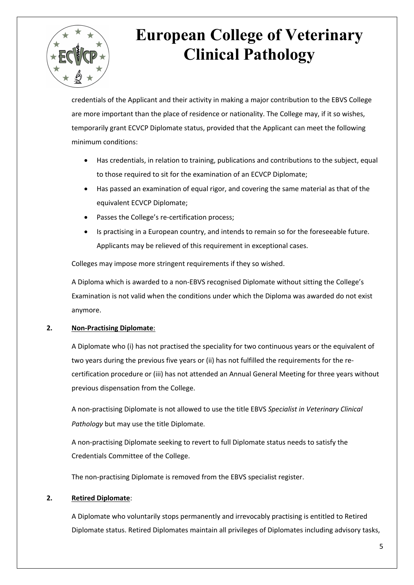

credentials of the Applicant and their activity in making a major contribution to the EBVS College are more important than the place of residence or nationality. The College may, if it so wishes, temporarily grant ECVCP Diplomate status, provided that the Applicant can meet the following minimum conditions:

- Has credentials, in relation to training, publications and contributions to the subject, equal to those required to sit for the examination of an ECVCP Diplomate;
- Has passed an examination of equal rigor, and covering the same material as that of the equivalent ECVCP Diplomate;
- Passes the College's re-certification process;
- Is practising in a European country, and intends to remain so for the foreseeable future. Applicants may be relieved of this requirement in exceptional cases.

Colleges may impose more stringent requirements if they so wished.

A Diploma which is awarded to a non-EBVS recognised Diplomate without sitting the College's Examination is not valid when the conditions under which the Diploma was awarded do not exist anymore.

#### **2. Non-Practising Diplomate**:

A Diplomate who (i) has not practised the speciality for two continuous years or the equivalent of two years during the previous five years or (ii) has not fulfilled the requirements for the recertification procedure or (iii) has not attended an Annual General Meeting for three years without previous dispensation from the College.

A non-practising Diplomate is not allowed to use the title EBVS *Specialist in Veterinary Clinical Pathology* but may use the title Diplomate.

A non-practising Diplomate seeking to revert to full Diplomate status needs to satisfy the Credentials Committee of the College.

The non-practising Diplomate is removed from the EBVS specialist register.

#### **2. Retired Diplomate**:

A Diplomate who voluntarily stops permanently and irrevocably practising is entitled to Retired Diplomate status. Retired Diplomates maintain all privileges of Diplomates including advisory tasks,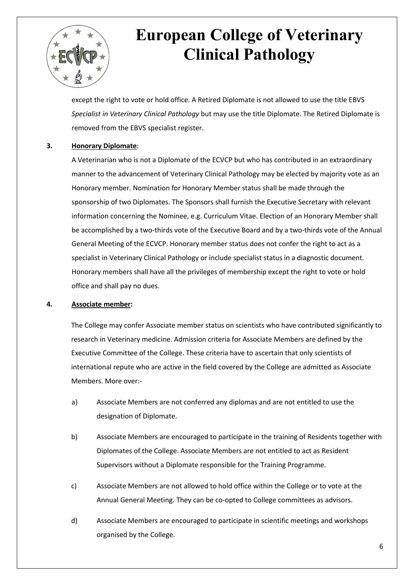

except the right to vote or hold office. A Retired Diplomate is not allowed to use the title EBVS *Specialist in Veterinary Clinical Pathology* but may use the title Diplomate. The Retired Diplomate is removed from the EBVS specialist register.

#### **3. Honorary Diplomate**:

A Veterinarian who is not a Diplomate of the ECVCP but who has contributed in an extraordinary manner to the advancement of Veterinary Clinical Pathology may be elected by majority vote as an Honorary member. Nomination for Honorary Member status shall be made through the sponsorship of two Diplomates. The Sponsors shall furnish the Executive Secretary with relevant information concerning the Nominee, e.g. Curriculum Vitae. Election of an Honorary Member shall be accomplished by a two-thirds vote of the Executive Board and by a two-thirds vote of the Annual General Meeting of the ECVCP. Honorary member status does not confer the right to act as a specialist in Veterinary Clinical Pathology or include specialist status in a diagnostic document. Honorary members shall have all the privileges of membership except the right to vote or hold office and shall pay no dues.

#### **4. Associate member:**

The College may confer Associate member status on scientists who have contributed significantly to research in Veterinary medicine. Admission criteria for Associate Members are defined by the Executive Committee of the College. These criteria have to ascertain that only scientists of international repute who are active in the field covered by the College are admitted as Associate Members. More over:-

- a) Associate Members are not conferred any diplomas and are not entitled to use the designation of Diplomate.
- b) Associate Members are encouraged to participate in the training of Residents together with Diplomates of the College. Associate Members are not entitled to act as Resident Supervisors without a Diplomate responsible for the Training Programme.
- c) Associate Members are not allowed to hold office within the College or to vote at the Annual General Meeting. They can be co-opted to College committees as advisors.
- d) Associate Members are encouraged to participate in scientific meetings and workshops organised by the College.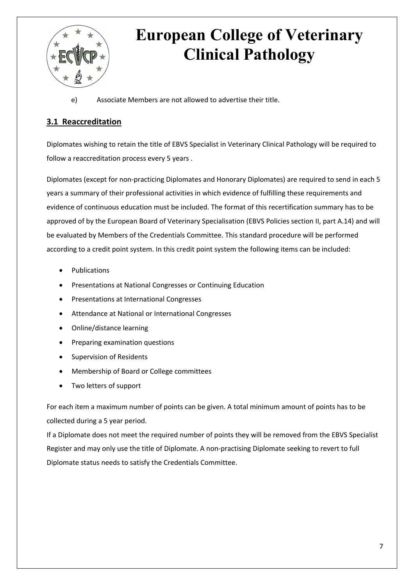

e) Associate Members are not allowed to advertise their title.

### **3.1 Reaccreditation**

Diplomates wishing to retain the title of EBVS Specialist in Veterinary Clinical Pathology will be required to follow a reaccreditation process every 5 years .

Diplomates (except for non-practicing Diplomates and Honorary Diplomates) are required to send in each 5 years a summary of their professional activities in which evidence of fulfilling these requirements and evidence of continuous education must be included. The format of this recertification summary has to be approved of by the European Board of Veterinary Specialisation (EBVS Policies section II, part A.14) and will be evaluated by Members of the Credentials Committee. This standard procedure will be performed according to a credit point system. In this credit point system the following items can be included:

- **Publications**
- Presentations at National Congresses or Continuing Education
- Presentations at International Congresses
- Attendance at National or International Congresses
- Online/distance learning
- Preparing examination questions
- Supervision of Residents
- Membership of Board or College committees
- Two letters of support

For each item a maximum number of points can be given. A total minimum amount of points has to be collected during a 5 year period.

If a Diplomate does not meet the required number of points they will be removed from the EBVS Specialist Register and may only use the title of Diplomate. A non-practising Diplomate seeking to revert to full Diplomate status needs to satisfy the Credentials Committee.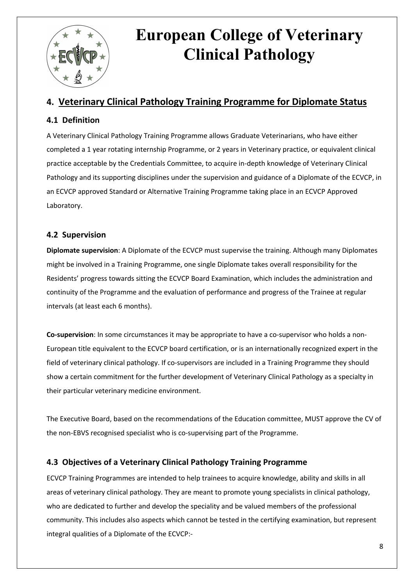

### **4. Veterinary Clinical Pathology Training Programme for Diplomate Status**

#### **4.1 Definition**

A Veterinary Clinical Pathology Training Programme allows Graduate Veterinarians, who have either completed a 1 year rotating internship Programme, or 2 years in Veterinary practice, or equivalent clinical practice acceptable by the Credentials Committee, to acquire in-depth knowledge of Veterinary Clinical Pathology and its supporting disciplines under the supervision and guidance of a Diplomate of the ECVCP, in an ECVCP approved Standard or Alternative Training Programme taking place in an ECVCP Approved Laboratory.

#### **4.2 Supervision**

**Diplomate supervision**: A Diplomate of the ECVCP must supervise the training. Although many Diplomates might be involved in a Training Programme, one single Diplomate takes overall responsibility for the Residents' progress towards sitting the ECVCP Board Examination, which includes the administration and continuity of the Programme and the evaluation of performance and progress of the Trainee at regular intervals (at least each 6 months).

**Co-supervision**: In some circumstances it may be appropriate to have a co-supervisor who holds a non-European title equivalent to the ECVCP board certification, or is an internationally recognized expert in the field of veterinary clinical pathology. If co-supervisors are included in a Training Programme they should show a certain commitment for the further development of Veterinary Clinical Pathology as a specialty in their particular veterinary medicine environment.

The Executive Board, based on the recommendations of the Education committee, MUST approve the CV of the non-EBVS recognised specialist who is co-supervising part of the Programme.

#### **4.3 Objectives of a Veterinary Clinical Pathology Training Programme**

ECVCP Training Programmes are intended to help trainees to acquire knowledge, ability and skills in all areas of veterinary clinical pathology. They are meant to promote young specialists in clinical pathology, who are dedicated to further and develop the speciality and be valued members of the professional community. This includes also aspects which cannot be tested in the certifying examination, but represent integral qualities of a Diplomate of the ECVCP:-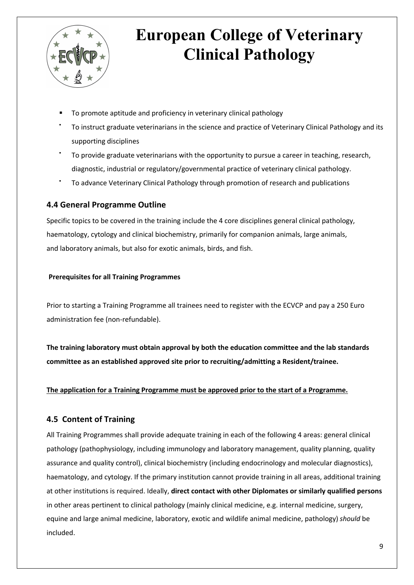

- § To promote aptitude and proficiency in veterinary clinical pathology
- To instruct graduate veterinarians in the science and practice of Veterinary Clinical Pathology and its supporting disciplines
- To provide graduate veterinarians with the opportunity to pursue a career in teaching, research, diagnostic, industrial or regulatory/governmental practice of veterinary clinical pathology.
- To advance Veterinary Clinical Pathology through promotion of research and publications

#### **4.4 General Programme Outline**

Specific topics to be covered in the training include the 4 core disciplines general clinical pathology, haematology, cytology and clinical biochemistry, primarily for companion animals, large animals, and laboratory animals, but also for exotic animals, birds, and fish.

#### **Prerequisites for all Training Programmes**

Prior to starting a Training Programme all trainees need to register with the ECVCP and pay a 250 Euro administration fee (non-refundable).

**The training laboratory must obtain approval by both the education committee and the lab standards committee as an established approved site prior to recruiting/admitting a Resident/trainee.**

#### **The application for a Training Programme must be approved prior to the start of a Programme.**

#### **4.5 Content of Training**

All Training Programmes shall provide adequate training in each of the following 4 areas: general clinical pathology (pathophysiology, including immunology and laboratory management, quality planning, quality assurance and quality control), clinical biochemistry (including endocrinology and molecular diagnostics), haematology, and cytology. If the primary institution cannot provide training in all areas, additional training at other institutions is required. Ideally, **direct contact with other Diplomates or similarly qualified persons** in other areas pertinent to clinical pathology (mainly clinical medicine, e.g. internal medicine, surgery, equine and large animal medicine, laboratory, exotic and wildlife animal medicine, pathology) *should* be included.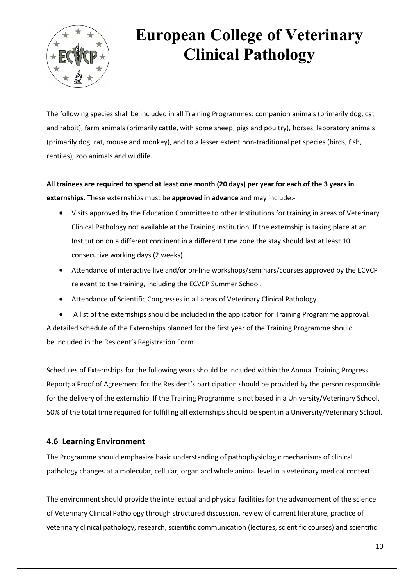

The following species shall be included in all Training Programmes: companion animals (primarily dog, cat and rabbit), farm animals (primarily cattle, with some sheep, pigs and poultry), horses, laboratory animals (primarily dog, rat, mouse and monkey), and to a lesser extent non-traditional pet species (birds, fish, reptiles), zoo animals and wildlife.

**All trainees are required to spend at least one month (20 days) per year for each of the 3 years in externships**. These externships must be **approved in advance** and may include:-

- Visits approved by the Education Committee to other Institutions for training in areas of Veterinary Clinical Pathology not available at the Training Institution. If the externship is taking place at an Institution on a different continent in a different time zone the stay should last at least 10 consecutive working days (2 weeks).
- Attendance of interactive live and/or on-line workshops/seminars/courses approved by the ECVCP relevant to the training, including the ECVCP Summer School.
- Attendance of Scientific Congresses in all areas of Veterinary Clinical Pathology.

• A list of the externships should be included in the application for Training Programme approval. A detailed schedule of the Externships planned for the first year of the Training Programme should be included in the Resident's Registration Form.

Schedules of Externships for the following years should be included within the Annual Training Progress Report; a Proof of Agreement for the Resident's participation should be provided by the person responsible for the delivery of the externship. If the Training Programme is not based in a University/Veterinary School, 50% of the total time required for fulfilling all externships should be spent in a University/Veterinary School.

#### **4.6 Learning Environment**

The Programme should emphasize basic understanding of pathophysiologic mechanisms of clinical pathology changes at a molecular, cellular, organ and whole animal level in a veterinary medical context.

The environment should provide the intellectual and physical facilities for the advancement of the science of Veterinary Clinical Pathology through structured discussion, review of current literature, practice of veterinary clinical pathology, research, scientific communication (lectures, scientific courses) and scientific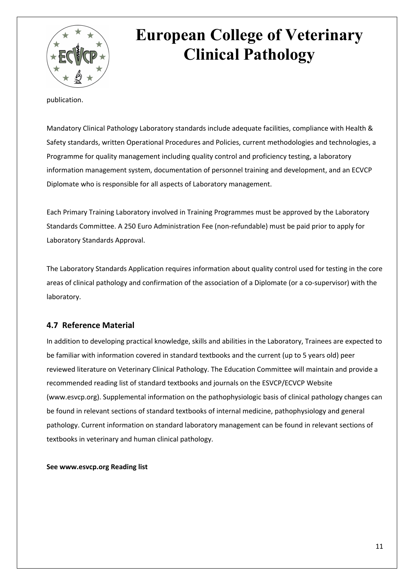

publication.

Mandatory Clinical Pathology Laboratory standards include adequate facilities, compliance with Health & Safety standards, written Operational Procedures and Policies, current methodologies and technologies, a Programme for quality management including quality control and proficiency testing, a laboratory information management system, documentation of personnel training and development, and an ECVCP Diplomate who is responsible for all aspects of Laboratory management.

Each Primary Training Laboratory involved in Training Programmes must be approved by the Laboratory Standards Committee. A 250 Euro Administration Fee (non-refundable) must be paid prior to apply for Laboratory Standards Approval.

The Laboratory Standards Application requires information about quality control used for testing in the core areas of clinical pathology and confirmation of the association of a Diplomate (or a co-supervisor) with the laboratory.

#### **4.7 Reference Material**

In addition to developing practical knowledge, skills and abilities in the Laboratory, Trainees are expected to be familiar with information covered in standard textbooks and the current (up to 5 years old) peer reviewed literature on Veterinary Clinical Pathology. The Education Committee will maintain and provide a recommended reading list of standard textbooks and journals on the ESVCP/ECVCP Website (www.esvcp.org). Supplemental information on the pathophysiologic basis of clinical pathology changes can be found in relevant sections of standard textbooks of internal medicine, pathophysiology and general pathology. Current information on standard laboratory management can be found in relevant sections of textbooks in veterinary and human clinical pathology.

**See www.esvcp.org Reading list**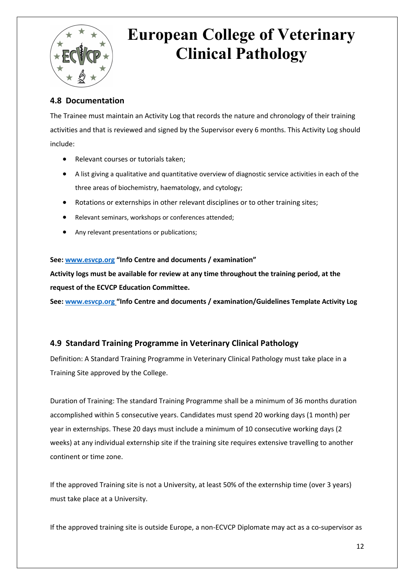

#### **4.8 Documentation**

The Trainee must maintain an Activity Log that records the nature and chronology of their training activities and that is reviewed and signed by the Supervisor every 6 months. This Activity Log should include:

- Relevant courses or tutorials taken;
- A list giving a qualitative and quantitative overview of diagnostic service activities in each of the three areas of biochemistry, haematology, and cytology;
- Rotations or externships in other relevant disciplines or to other training sites;
- Relevant seminars, workshops or conferences attended;
- Any relevant presentations or publications;

#### **See: www.esvcp.org "Info Centre and documents / examination"**

**Activity logs must be available for review at any time throughout the training period, at the request of the ECVCP Education Committee.** 

**See: www.esvcp.org "Info Centre and documents / examination/Guidelines Template Activity Log** 

#### **4.9 Standard Training Programme in Veterinary Clinical Pathology**

Definition: A Standard Training Programme in Veterinary Clinical Pathology must take place in a Training Site approved by the College.

Duration of Training: The standard Training Programme shall be a minimum of 36 months duration accomplished within 5 consecutive years. Candidates must spend 20 working days (1 month) per year in externships. These 20 days must include a minimum of 10 consecutive working days (2 weeks) at any individual externship site if the training site requires extensive travelling to another continent or time zone.

If the approved Training site is not a University, at least 50% of the externship time (over 3 years) must take place at a University.

If the approved training site is outside Europe, a non-ECVCP Diplomate may act as a co-supervisor as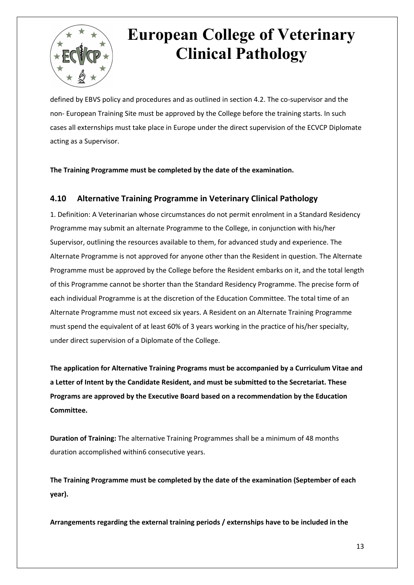

defined by EBVS policy and procedures and as outlined in section 4.2. The co-supervisor and the non- European Training Site must be approved by the College before the training starts. In such cases all externships must take place in Europe under the direct supervision of the ECVCP Diplomate acting as a Supervisor.

**The Training Programme must be completed by the date of the examination.**

#### **4.10 Alternative Training Programme in Veterinary Clinical Pathology**

1. Definition: A Veterinarian whose circumstances do not permit enrolment in a Standard Residency Programme may submit an alternate Programme to the College, in conjunction with his/her Supervisor, outlining the resources available to them, for advanced study and experience. The Alternate Programme is not approved for anyone other than the Resident in question. The Alternate Programme must be approved by the College before the Resident embarks on it, and the total length of this Programme cannot be shorter than the Standard Residency Programme. The precise form of each individual Programme is at the discretion of the Education Committee. The total time of an Alternate Programme must not exceed six years. A Resident on an Alternate Training Programme must spend the equivalent of at least 60% of 3 years working in the practice of his/her specialty, under direct supervision of a Diplomate of the College.

**The application for Alternative Training Programs must be accompanied by a Curriculum Vitae and a Letter of Intent by the Candidate Resident, and must be submitted to the Secretariat. These Programs are approved by the Executive Board based on a recommendation by the Education Committee.**

**Duration of Training:** The alternative Training Programmes shall be a minimum of 48 months duration accomplished within6 consecutive years.

**The Training Programme must be completed by the date of the examination (September of each year).**

**Arrangements regarding the external training periods / externships have to be included in the**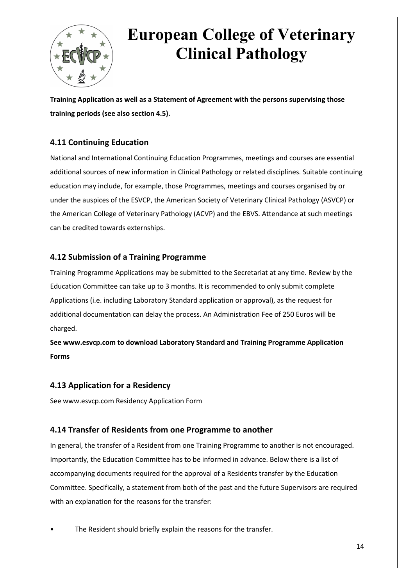

**Training Application as well as a Statement of Agreement with the persons supervising those training periods (see also section 4.5).**

### **4.11 Continuing Education**

National and International Continuing Education Programmes, meetings and courses are essential additional sources of new information in Clinical Pathology or related disciplines. Suitable continuing education may include, for example, those Programmes, meetings and courses organised by or under the auspices of the ESVCP, the American Society of Veterinary Clinical Pathology (ASVCP) or the American College of Veterinary Pathology (ACVP) and the EBVS. Attendance at such meetings can be credited towards externships.

#### **4.12 Submission of a Training Programme**

Training Programme Applications may be submitted to the Secretariat at any time. Review by the Education Committee can take up to 3 months. It is recommended to only submit complete Applications (i.e. including Laboratory Standard application or approval), as the request for additional documentation can delay the process. An Administration Fee of 250 Euros will be charged.

**See www.esvcp.com to download Laboratory Standard and Training Programme Application Forms**

#### **4.13 Application for a Residency**

See www.esvcp.com Residency Application Form

#### **4.14 Transfer of Residents from one Programme to another**

In general, the transfer of a Resident from one Training Programme to another is not encouraged. Importantly, the Education Committee has to be informed in advance. Below there is a list of accompanying documents required for the approval of a Residents transfer by the Education Committee. Specifically, a statement from both of the past and the future Supervisors are required with an explanation for the reasons for the transfer:

The Resident should briefly explain the reasons for the transfer.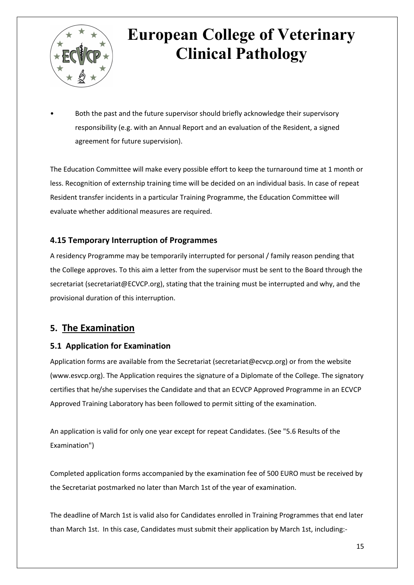

Both the past and the future supervisor should briefly acknowledge their supervisory responsibility (e.g. with an Annual Report and an evaluation of the Resident, a signed agreement for future supervision).

The Education Committee will make every possible effort to keep the turnaround time at 1 month or less. Recognition of externship training time will be decided on an individual basis. In case of repeat Resident transfer incidents in a particular Training Programme, the Education Committee will evaluate whether additional measures are required.

#### **4.15 Temporary Interruption of Programmes**

A residency Programme may be temporarily interrupted for personal / family reason pending that the College approves. To this aim a letter from the supervisor must be sent to the Board through the secretariat (secretariat@ECVCP.org), stating that the training must be interrupted and why, and the provisional duration of this interruption.

### **5. The Examination**

#### **5.1 Application for Examination**

Application forms are available from the Secretariat (secretariat@ecvcp.org) or from the website (www.esvcp.org). The Application requires the signature of a Diplomate of the College. The signatory certifies that he/she supervises the Candidate and that an ECVCP Approved Programme in an ECVCP Approved Training Laboratory has been followed to permit sitting of the examination.

An application is valid for only one year except for repeat Candidates. (See "5.6 Results of the Examination")

Completed application forms accompanied by the examination fee of 500 EURO must be received by the Secretariat postmarked no later than March 1st of the year of examination.

The deadline of March 1st is valid also for Candidates enrolled in Training Programmes that end later than March 1st. In this case, Candidates must submit their application by March 1st, including:-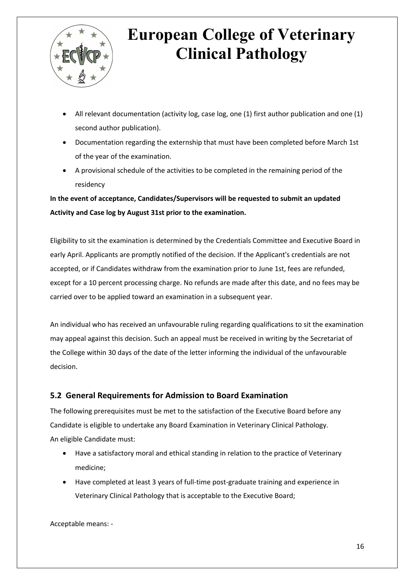

- All relevant documentation (activity log, case log, one (1) first author publication and one (1) second author publication).
- Documentation regarding the externship that must have been completed before March 1st of the year of the examination.
- A provisional schedule of the activities to be completed in the remaining period of the residency

**In the event of acceptance, Candidates/Supervisors will be requested to submit an updated Activity and Case log by August 31st prior to the examination.**

Eligibility to sit the examination is determined by the Credentials Committee and Executive Board in early April. Applicants are promptly notified of the decision. If the Applicant's credentials are not accepted, or if Candidates withdraw from the examination prior to June 1st, fees are refunded, except for a 10 percent processing charge. No refunds are made after this date, and no fees may be carried over to be applied toward an examination in a subsequent year.

An individual who has received an unfavourable ruling regarding qualifications to sit the examination may appeal against this decision. Such an appeal must be received in writing by the Secretariat of the College within 30 days of the date of the letter informing the individual of the unfavourable decision.

#### **5.2 General Requirements for Admission to Board Examination**

The following prerequisites must be met to the satisfaction of the Executive Board before any Candidate is eligible to undertake any Board Examination in Veterinary Clinical Pathology. An eligible Candidate must:

- Have a satisfactory moral and ethical standing in relation to the practice of Veterinary medicine;
- Have completed at least 3 years of full-time post-graduate training and experience in Veterinary Clinical Pathology that is acceptable to the Executive Board;

Acceptable means: -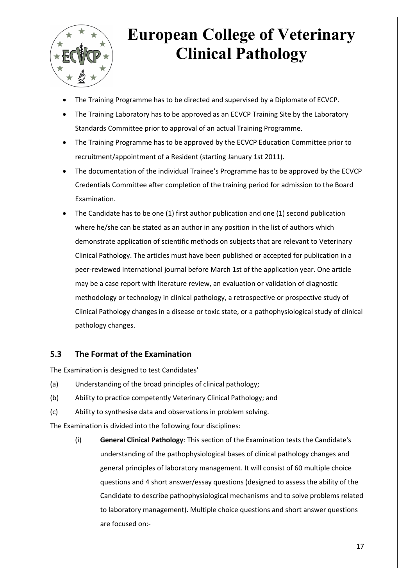

- The Training Programme has to be directed and supervised by a Diplomate of ECVCP.
- The Training Laboratory has to be approved as an ECVCP Training Site by the Laboratory Standards Committee prior to approval of an actual Training Programme.
- The Training Programme has to be approved by the ECVCP Education Committee prior to recruitment/appointment of a Resident (starting January 1st 2011).
- The documentation of the individual Trainee's Programme has to be approved by the ECVCP Credentials Committee after completion of the training period for admission to the Board Examination.
- The Candidate has to be one (1) first author publication and one (1) second publication where he/she can be stated as an author in any position in the list of authors which demonstrate application of scientific methods on subjects that are relevant to Veterinary Clinical Pathology. The articles must have been published or accepted for publication in a peer-reviewed international journal before March 1st of the application year. One article may be a case report with literature review, an evaluation or validation of diagnostic methodology or technology in clinical pathology, a retrospective or prospective study of Clinical Pathology changes in a disease or toxic state, or a pathophysiological study of clinical pathology changes.

#### **5.3 The Format of the Examination**

The Examination is designed to test Candidates'

- (a) Understanding of the broad principles of clinical pathology;
- (b) Ability to practice competently Veterinary Clinical Pathology; and
- (c) Ability to synthesise data and observations in problem solving.

The Examination is divided into the following four disciplines:

(i) **General Clinical Pathology**: This section of the Examination tests the Candidate's understanding of the pathophysiological bases of clinical pathology changes and general principles of laboratory management. It will consist of 60 multiple choice questions and 4 short answer/essay questions (designed to assess the ability of the Candidate to describe pathophysiological mechanisms and to solve problems related to laboratory management). Multiple choice questions and short answer questions are focused on:-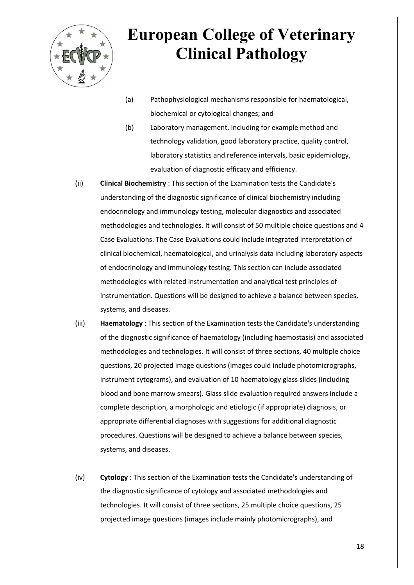

- (a) Pathophysiological mechanisms responsible for haematological, biochemical or cytological changes; and
- (b) Laboratory management, including for example method and technology validation, good laboratory practice, quality control, laboratory statistics and reference intervals, basic epidemiology, evaluation of diagnostic efficacy and efficiency.
- (ii) **Clinical Biochemistry** : This section of the Examination tests the Candidate's understanding of the diagnostic significance of clinical biochemistry including endocrinology and immunology testing, molecular diagnostics and associated methodologies and technologies. It will consist of 50 multiple choice questions and 4 Case Evaluations. The Case Evaluations could include integrated interpretation of clinical biochemical, haematological, and urinalysis data including laboratory aspects of endocrinology and immunology testing. This section can include associated methodologies with related instrumentation and analytical test principles of instrumentation. Questions will be designed to achieve a balance between species, systems, and diseases.
- (iii) **Haematology** : This section of the Examination tests the Candidate's understanding of the diagnostic significance of haematology (including haemostasis) and associated methodologies and technologies. It will consist of three sections, 40 multiple choice questions, 20 projected image questions (images could include photomicrographs, instrument cytograms), and evaluation of 10 haematology glass slides (including blood and bone marrow smears). Glass slide evaluation required answers include a complete description, a morphologic and etiologic (if appropriate) diagnosis, or appropriate differential diagnoses with suggestions for additional diagnostic procedures. Questions will be designed to achieve a balance between species, systems, and diseases.
- (iv) **Cytology** : This section of the Examination tests the Candidate's understanding of the diagnostic significance of cytology and associated methodologies and technologies. It will consist of three sections, 25 multiple choice questions, 25 projected image questions (images include mainly photomicrographs), and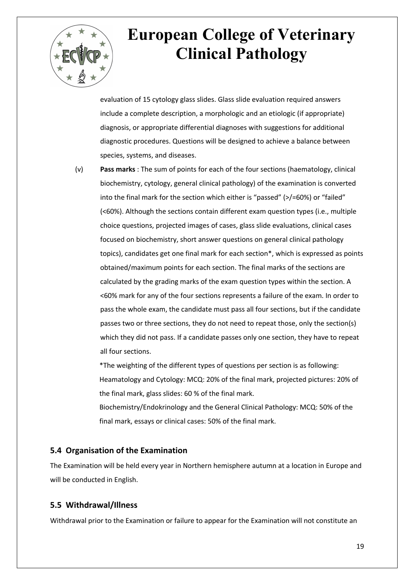

evaluation of 15 cytology glass slides. Glass slide evaluation required answers include a complete description, a morphologic and an etiologic (if appropriate) diagnosis, or appropriate differential diagnoses with suggestions for additional diagnostic procedures. Questions will be designed to achieve a balance between species, systems, and diseases.

(v) **Pass marks** : The sum of points for each of the four sections (haematology, clinical biochemistry, cytology, general clinical pathology) of the examination is converted into the final mark for the section which either is "passed" (>/=60%) or "failed" (<60%). Although the sections contain different exam question types (i.e., multiple choice questions, projected images of cases, glass slide evaluations, clinical cases focused on biochemistry, short answer questions on general clinical pathology topics), candidates get one final mark for each section\*, which is expressed as points obtained/maximum points for each section. The final marks of the sections are calculated by the grading marks of the exam question types within the section. A <60% mark for any of the four sections represents a failure of the exam. In order to pass the whole exam, the candidate must pass all four sections, but if the candidate passes two or three sections, they do not need to repeat those, only the section(s) which they did not pass. If a candidate passes only one section, they have to repeat all four sections.

\*The weighting of the different types of questions per section is as following: Heamatology and Cytology: MCQ: 20% of the final mark, projected pictures: 20% of the final mark, glass slides: 60 % of the final mark. Biochemistry/Endokrinology and the General Clinical Pathology: MCQ: 50% of the final mark, essays or clinical cases: 50% of the final mark.

#### **5.4 Organisation of the Examination**

The Examination will be held every year in Northern hemisphere autumn at a location in Europe and will be conducted in English.

#### **5.5 Withdrawal/Illness**

Withdrawal prior to the Examination or failure to appear for the Examination will not constitute an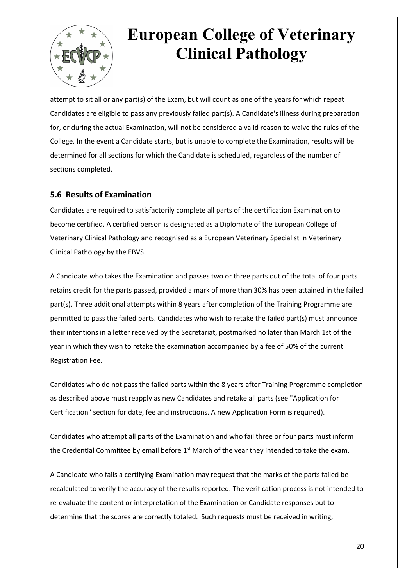

attempt to sit all or any part(s) of the Exam, but will count as one of the years for which repeat Candidates are eligible to pass any previously failed part(s). A Candidate's illness during preparation for, or during the actual Examination, will not be considered a valid reason to waive the rules of the College. In the event a Candidate starts, but is unable to complete the Examination, results will be determined for all sections for which the Candidate is scheduled, regardless of the number of sections completed.

#### **5.6 Results of Examination**

Candidates are required to satisfactorily complete all parts of the certification Examination to become certified. A certified person is designated as a Diplomate of the European College of Veterinary Clinical Pathology and recognised as a European Veterinary Specialist in Veterinary Clinical Pathology by the EBVS.

A Candidate who takes the Examination and passes two or three parts out of the total of four parts retains credit for the parts passed, provided a mark of more than 30% has been attained in the failed part(s). Three additional attempts within 8 years after completion of the Training Programme are permitted to pass the failed parts. Candidates who wish to retake the failed part(s) must announce their intentions in a letter received by the Secretariat, postmarked no later than March 1st of the year in which they wish to retake the examination accompanied by a fee of 50% of the current Registration Fee.

Candidates who do not pass the failed parts within the 8 years after Training Programme completion as described above must reapply as new Candidates and retake all parts (see "Application for Certification" section for date, fee and instructions. A new Application Form is required).

Candidates who attempt all parts of the Examination and who fail three or four parts must inform the Credential Committee by email before 1<sup>st</sup> March of the year they intended to take the exam.

A Candidate who fails a certifying Examination may request that the marks of the parts failed be recalculated to verify the accuracy of the results reported. The verification process is not intended to re-evaluate the content or interpretation of the Examination or Candidate responses but to determine that the scores are correctly totaled. Such requests must be received in writing,